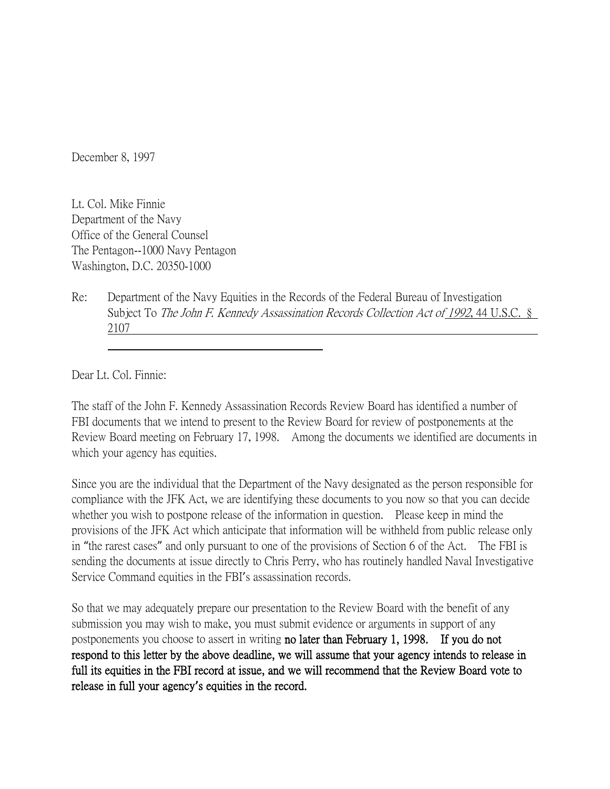December 8, 1997

Lt. Col. Mike Finnie Department of the Navy Office of the General Counsel The Pentagon--1000 Navy Pentagon Washington, D.C. 20350-1000

Re: Department of the Navy Equities in the Records of the Federal Bureau of Investigation Subject To The John F. Kennedy Assassination Records Collection Act of 1992, 44 U.S.C. § 2107

Dear Lt. Col. Finnie:

The staff of the John F. Kennedy Assassination Records Review Board has identified a number of FBI documents that we intend to present to the Review Board for review of postponements at the Review Board meeting on February 17, 1998. Among the documents we identified are documents in which your agency has equities.

Since you are the individual that the Department of the Navy designated as the person responsible for compliance with the JFK Act, we are identifying these documents to you now so that you can decide whether you wish to postpone release of the information in question. Please keep in mind the provisions of the JFK Act which anticipate that information will be withheld from public release only in "the rarest cases" and only pursuant to one of the provisions of Section 6 of the Act. The FBI is sending the documents at issue directly to Chris Perry, who has routinely handled Naval Investigative Service Command equities in the FBI's assassination records.

So that we may adequately prepare our presentation to the Review Board with the benefit of any submission you may wish to make, you must submit evidence or arguments in support of any postponements you choose to assert in writing no later than February 1, 1998. If you do not respond to this letter by the above deadline, we will assume that your agency intends to release in full its equities in the FBI record at issue, and we will recommend that the Review Board vote to release in full your agency**'**s equities in the record.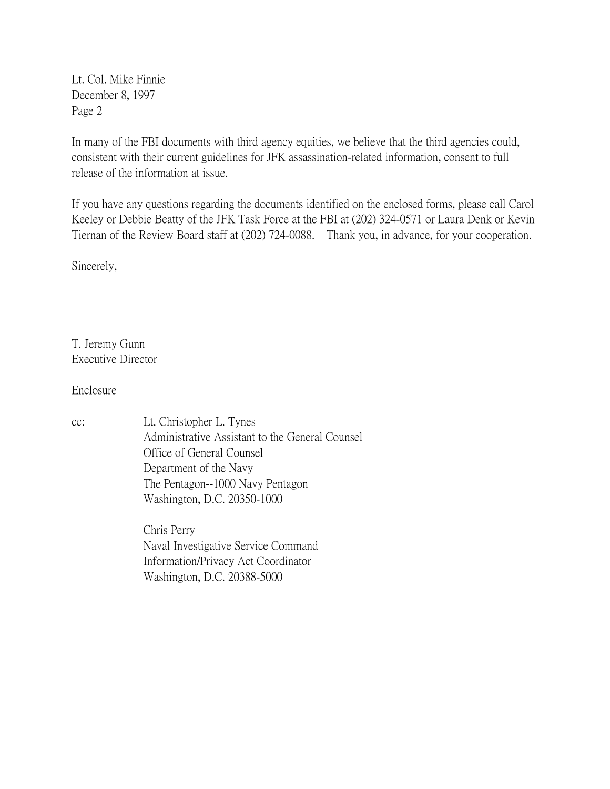Lt. Col. Mike Finnie December 8, 1997 Page 2

In many of the FBI documents with third agency equities, we believe that the third agencies could, consistent with their current guidelines for JFK assassination-related information, consent to full release of the information at issue.

If you have any questions regarding the documents identified on the enclosed forms, please call Carol Keeley or Debbie Beatty of the JFK Task Force at the FBI at (202) 324-0571 or Laura Denk or Kevin Tiernan of the Review Board staff at (202) 724-0088. Thank you, in advance, for your cooperation.

Sincerely,

T. Jeremy Gunn Executive Director

Enclosure

cc: Lt. Christopher L. Tynes Administrative Assistant to the General Counsel Office of General Counsel Department of the Navy The Pentagon--1000 Navy Pentagon Washington, D.C. 20350-1000

> Chris Perry Naval Investigative Service Command Information/Privacy Act Coordinator Washington, D.C. 20388-5000